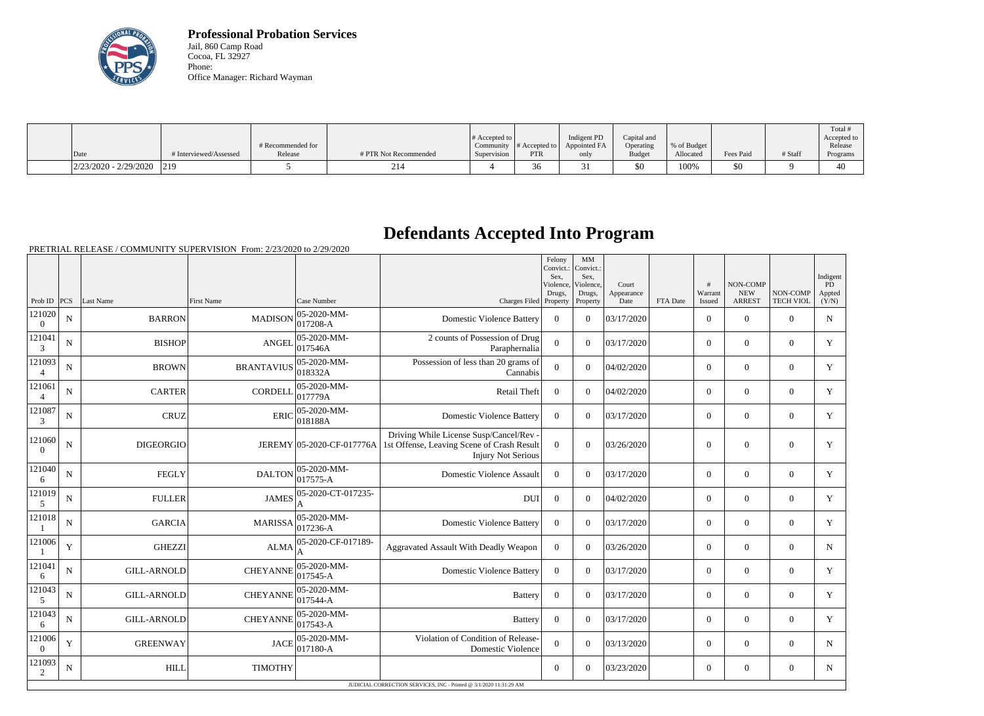

**Professional Probation Services** Jail, 860 Camp Road Cocoa, FL 32927 Phone: Office Manager: Richard Wayman

|                         |                        |                   |                       |                       |               |              |               |             |           |         | Total #     |
|-------------------------|------------------------|-------------------|-----------------------|-----------------------|---------------|--------------|---------------|-------------|-----------|---------|-------------|
|                         |                        |                   |                       | # Accepted to $\vert$ |               | Indigent PD  | Capital and   |             |           |         | Accepted to |
|                         |                        | # Recommended for |                       | Community             | # Accepted to | Appointed FA | Operating     | % of Budget |           |         | Release     |
| Date                    | # Interviewed/Assessed | Release           | # PTR Not Recommended | Supervision           | <b>PTR</b>    | only         | <b>Budget</b> | Allocated   | Fees Paid | # Staff | Programs    |
| $2/23/2020 - 2/29/2020$ | 219                    |                   | 214                   |                       | $\sim$<br>30  |              | \$0           | 100%        | \$0       |         | 40          |

## **Defendants Accepted Into Program**

PRETRIAL RELEASE / COMMUNITY SUPERVISION From: 2/23/2020 to 2/29/2020

|                          |             |                    |                   |                                    |                                                                                                                                              | Felony<br>Convict.:<br>Sex.<br>Violence.<br>Drugs, | MM<br>Convict.:<br>Sex,<br>Violence, | Court<br>Appearance |          | #<br>Warrant   | NON-COMP<br><b>NEW</b> | NON-COMP         | Indigent<br><b>PD</b> |
|--------------------------|-------------|--------------------|-------------------|------------------------------------|----------------------------------------------------------------------------------------------------------------------------------------------|----------------------------------------------------|--------------------------------------|---------------------|----------|----------------|------------------------|------------------|-----------------------|
| Prob ID $ PCS $          |             | Last Name          | <b>First Name</b> | Case Number                        | Charges Filed Property                                                                                                                       |                                                    | Drugs,<br>Property                   | Date                | FTA Date | Issued         | <b>ARREST</b>          | <b>TECH VIOL</b> | Appted<br>(Y/N)       |
| 121020<br>$\overline{0}$ | ${\bf N}$   | <b>BARRON</b>      | <b>MADISON</b>    | 05-2020-MM-<br>$017208-A$          | <b>Domestic Violence Battery</b>                                                                                                             | $\overline{0}$                                     | $\Omega$                             | 03/17/2020          |          | $\overline{0}$ | $\mathbf{0}$           | $\overline{0}$   | N                     |
| 121041<br>3              | $\mathbf N$ | <b>BISHOP</b>      | <b>ANGEL</b>      | $ 05 - 2020 - MM -$<br>017546A     | 2 counts of Possession of Drug<br>Paraphernalia                                                                                              | $\overline{0}$                                     | $\Omega$                             | 03/17/2020          |          | $\overline{0}$ | $\theta$               | $\Omega$         | Y                     |
| 121093<br>$\overline{4}$ | N           | <b>BROWN</b>       | <b>BRANTAVIUS</b> | 05-2020-MM-<br>018332A             | Possession of less than 20 grams of<br>Cannabis                                                                                              | $\Omega$                                           | $\Omega$                             | 04/02/2020          |          | $\Omega$       | $\theta$               | $\Omega$         | Y                     |
| 121061                   | $\mathbf N$ | <b>CARTER</b>      | <b>CORDELL</b>    | $ 05 - 2020 - MM -$<br> 017779A    | Retail Theft                                                                                                                                 | $\Omega$                                           | $\Omega$                             | 04/02/2020          |          | $\Omega$       | $\theta$               | $\mathbf{0}$     | Y                     |
| 121087<br>$\mathfrak{Z}$ | ${\bf N}$   | <b>CRUZ</b>        | <b>ERIC</b>       | 05-2020-MM-<br>018188A             | <b>Domestic Violence Battery</b>                                                                                                             | $\overline{0}$                                     | $\Omega$                             | 03/17/2020          |          | $\overline{0}$ | $\boldsymbol{0}$       | $\overline{0}$   | Y                     |
| 121060<br>$\Omega$       | $\mathbf N$ | <b>DIGEORGIO</b>   |                   |                                    | Driving While License Susp/Cancel/Rev -<br>JEREMY 05-2020-CF-017776A 1st Offense, Leaving Scene of Crash Result<br><b>Injury Not Serious</b> | $\overline{0}$                                     | $\Omega$                             | 03/26/2020          |          | $\mathbf{0}$   | $\theta$               | $\Omega$         | Y                     |
| 121040<br>6              | N           | <b>FEGLY</b>       | <b>DALTON</b>     | $ 05-2020-MM-$<br>017575-A         | Domestic Violence Assault                                                                                                                    | $\Omega$                                           | $\Omega$                             | 03/17/2020          |          | $\overline{0}$ | $\boldsymbol{0}$       | $\overline{0}$   | Y                     |
| 121019<br>$\mathfrak{S}$ | $\mathbf N$ | <b>FULLER</b>      | <b>JAMES</b>      | 05-2020-CT-017235-                 | <b>DUI</b>                                                                                                                                   | $\overline{0}$                                     | $\Omega$                             | 04/02/2020          |          | $\overline{0}$ | $\theta$               | $\overline{0}$   | Y                     |
| 121018                   | $\mathbf N$ | <b>GARCIA</b>      | <b>MARISSA</b>    | $ 05 - 2020 - MM -$<br>$ 017236-A$ | <b>Domestic Violence Battery</b>                                                                                                             | $\boldsymbol{0}$                                   | $\Omega$                             | 03/17/2020          |          | $\overline{0}$ | $\overline{0}$         | $\overline{0}$   | Y                     |
| 121006                   | Y           | <b>GHEZZI</b>      | ALMA              | 05-2020-CF-017189-                 | Aggravated Assault With Deadly Weapon                                                                                                        | $\overline{0}$                                     | $\theta$                             | 03/26/2020          |          | $\overline{0}$ | $\overline{0}$         | $\overline{0}$   | $\mathbf N$           |
| 121041<br>6              | N           | <b>GILL-ARNOLD</b> | <b>CHEYANNE</b>   | 05-2020-MM-<br>017545-A            | <b>Domestic Violence Battery</b>                                                                                                             | $\mathbf{0}$                                       | $\Omega$                             | 03/17/2020          |          | $\overline{0}$ | $\mathbf{0}$           | $\overline{0}$   | Y                     |
| 121043<br>5              | $\mathbf N$ | <b>GILL-ARNOLD</b> | <b>CHEYANNE</b>   | $ 05 - 2020 - MM -$<br>017544-A    | <b>Battery</b>                                                                                                                               | $\theta$                                           | $\Omega$                             | 03/17/2020          |          | $\overline{0}$ | $\theta$               | $\overline{0}$   | Y                     |
| 121043<br>6              | N           | <b>GILL-ARNOLD</b> | <b>CHEYANNE</b>   | 05-2020-MM-<br>017543-A            | <b>Battery</b>                                                                                                                               | $\Omega$                                           | $\Omega$                             | 03/17/2020          |          | $\overline{0}$ | $\theta$               | $\overline{0}$   | Y                     |
| 121006<br>$\overline{0}$ | Y           | <b>GREENWAY</b>    | JACE              | $ 05-2020-MM-$<br>$ 017180 - A$    | Violation of Condition of Release-<br>Domestic Violence                                                                                      | $\theta$                                           | $\Omega$                             | 03/13/2020          |          | $\Omega$       | $\theta$               | $\Omega$         | $\mathbf N$           |
| 121093<br>2              | ${\bf N}$   | <b>HILL</b>        | <b>TIMOTHY</b>    |                                    |                                                                                                                                              | $\overline{0}$                                     | $\Omega$                             | 03/23/2020          |          | $\overline{0}$ | $\mathbf{0}$           | $\overline{0}$   | $\mathbf N$           |
|                          |             |                    |                   |                                    | JUDICIAL CORRECTION SERVICES. INC - Printed @ 3/1/2020 11:31:29 AM                                                                           |                                                    |                                      |                     |          |                |                        |                  |                       |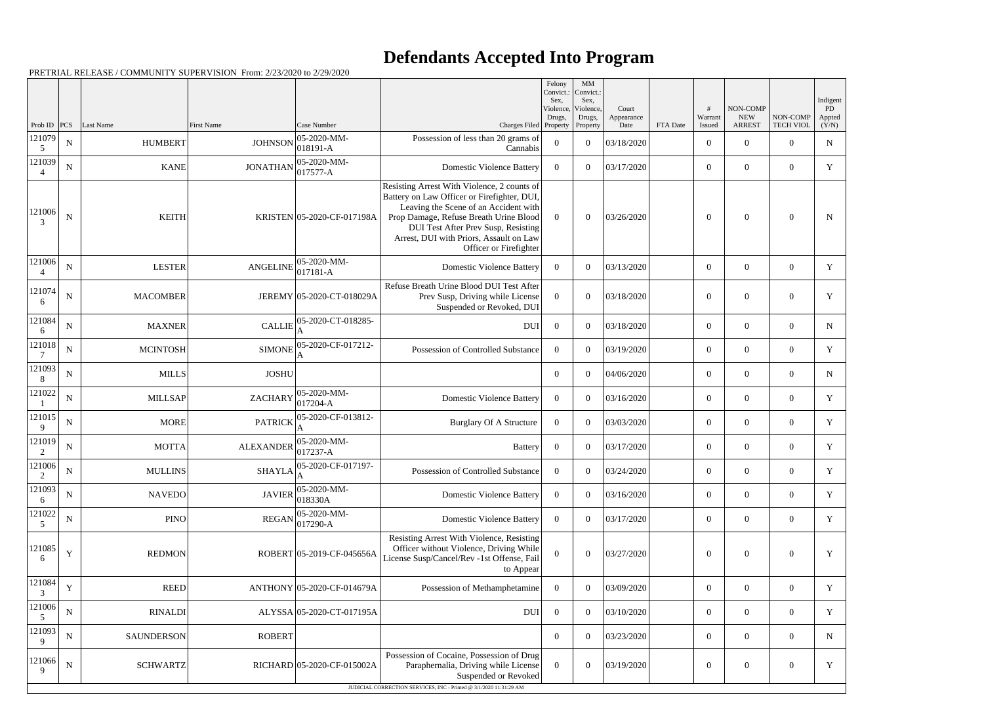## **Defendants Accepted Into Program**

Prob ID | PCS | Last Name | First Name | Case Number | Case Number | Case Number | Charges Filed Felony Convict.: Sex, Violence, Drugs, Property MM Convict. Sex, Violence, Drugs, Property Court Appearance FTA Date # Warrant Issued NON-COMP NEW ARREST NON-COMP TECH VIOL Indigent PD Appted  $(Y/N)$ 121079 5  $N \begin{bmatrix} 05-2020-MM \\ N \end{bmatrix}$  HUMBERT JOHNSON  $\begin{bmatrix} 05-2020-MM \\ 0.1210 M \end{bmatrix}$ 018191-A Possession of less than 20 grams of  $\begin{bmatrix} \text{Sianis of} \\ \text{Cannabis} \end{bmatrix}$  0 0 03/18/2020 0 0 0 0 0 0 N 121039 4  $N \begin{bmatrix} N \end{bmatrix}$  KANE JONATHAN 05-2020-MM-017577-A Domestic Violence Battery <sup>0</sup> <sup>0</sup> 03/17/2020 <sup>0</sup> <sup>0</sup> <sup>0</sup> <sup>Y</sup> 121006 3 N | KEITH KEITH KRISTEN 05-2020-CF-017198A Resisting Arrest With Violence, 2 counts of Battery on Law Officer or Firefighter, DUI, Leaving the Scene of an Accident with Prop Damage, Refuse Breath Urine Blood DUI Test After Prev Susp, Resisting Arrest, DUI with Priors, Assault on Law Officer or Firefighter  $0 \t 0 \t 03/26/2020$  0 0 0 N 121006 4  $N \begin{bmatrix} \text{N} & \text{LESTER} \end{bmatrix}$  ANGELINE  $\begin{bmatrix} 05-2020\text{-}MM-\end{bmatrix}$ 017181-A Domestic Violence Battery <sup>0</sup> <sup>0</sup> 03/13/2020 <sup>0</sup> <sup>0</sup> <sup>0</sup> <sup>Y</sup> 121074 6 N MACOMBER JEREMY 05-2020-CT-018029A Refuse Breath Urine Blood DUI Test After Prev Susp, Driving while License Suspended or Revoked, DUI  $0 \t 0 \t 03/18/2020$  0 0  $0 \t Y$ 121084 6  $N$  MAXNER CALLIE 05-2020-CT-018285-A DUI 0 0 03/18/2020 0 0 0 N 121018 7  $N \parallel$  MCINTOSH SIMONE 05-2020-CF-017212-A Possession of Controlled Substance 0 0 03/19/2020 0 0 0 Y 121093 8 N MILLS JOSHU 0 0 04/06/2020 0 0 0 N 121022 1  $N$  MILLSAP ZACHARY 05-2020-MM-<br>ZACHARY 017204-A 017204-A Domestic Violence Battery <sup>0</sup> <sup>0</sup> 03/16/2020 <sup>0</sup> <sup>0</sup> <sup>0</sup> <sup>Y</sup> 121015 9  $N$  MORE PATRICK 05-2020-CF-013812-A Burglary Of A Structure 0 0 03/03/2020 0 0 0 Y 121019 2  $N$  MOTTA MOTTA ALEXANDER 05-2020-MM-<br> $\begin{array}{c} 0.5-2020-MM-1 \end{array}$  $0.59 - 2026 - 1111 - 0$   $0.59 - 2026 - 1111 - 0$   $0.59 - 2026 - 1111 - 0$   $0.59 - 2026 - 1111 - 0$   $0.59 - 2026 - 1111 - 0$   $0.59 - 2026 - 1111 - 0$ 121006 2  $N$  MULLINS SHAYLA 05-2020-CF-017197-A Possession of Controlled Substance 0 0 03/24/2020 0 0 0 Y 121093 6  $N$  NAVEDO JAVIER 05-2020-MM-<br>JAVIER 018330A 018330A Domestic Violence Battery <sup>0</sup> <sup>0</sup> 03/16/2020 <sup>0</sup> <sup>0</sup> <sup>0</sup> <sup>Y</sup> 121022 5  $N \begin{array}{|l|l|} \hline \text{N} & \text{PINO} \hline \end{array}$  REGAN 05-2020-MM-017290-A Domestic Violence Battery <sup>0</sup> <sup>0</sup> 03/17/2020 <sup>0</sup> <sup>0</sup> <sup>0</sup> <sup>Y</sup> 121085 6 Y | REDMON ROBERT 05-2019-CF-045656A Resisting Arrest With Violence, Resisting Officer without Violence, Driving While License Susp/Cancel/Rev -1st Offense, Fail to Appear  $0 \t 0 \t 03/27/2020$  0 0 0 Y 121084 3  $Y$  REED ANTHONY 05-2020-CF-014679A Possession of Methamphetamine 0 0 03/09/2020 0 0 0 0 0 0  $\gamma$ 121006 5 N RINALDI ALYSSA 05-2020-CT-017195A DUI 0 0 03/10/2020 0 0 0 0 0 121093 9 N SAUNDERSON ROBERT 0 0 03/23/2020 0 0 0 N 121066 9 N | SCHWARTZ| RICHARD 05-2020-CF-015002A Possession of Cocaine, Possession of Drug Paraphernalia, Driving while License Suspended or Revoked  $0 \t 0 \t 03/19/2020$  0 0 0 Y

PRETRIAL RELEASE / COMMUNITY SUPERVISION From: 2/23/2020 to 2/29/2020

JUDICIAL CORRECTION SERVICES, INC - Printed @ 3/1/2020 11:31:29 AM